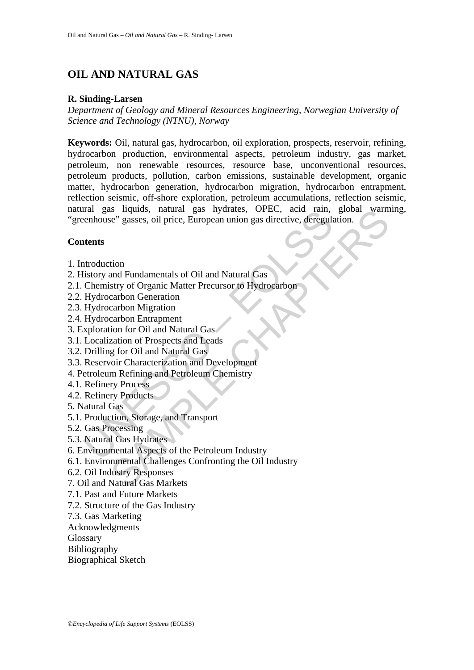# **OIL AND NATURAL GAS**

#### **R. Sinding-Larsen**

*Department of Geology and Mineral Resources Engineering, Norwegian University of Science and Technology (NTNU), Norway* 

natural gas injunios, inaunal gas injunios, OFEC, acid raini,<br>renhouse" gasses, oil price, European union gas directive, deregular<br>tents<br>torry and Fundamentals of Oil and Natural Gas<br>Chemistry of Organic Matter Precursor t is inquios, natural gas nyarates, OPEC, acid rain, giobal warm<br>ee" gasses, oil price, European union gas directive, deregulation.<br>Chapter ee" gasses, oil price, European union gas directive, deregulation.<br>Carbon Generation **Keywords:** Oil, natural gas, hydrocarbon, oil exploration, prospects, reservoir, refining, hydrocarbon production, environmental aspects, petroleum industry, gas market, petroleum, non renewable resources, resource base, unconventional resources, petroleum products, pollution, carbon emissions, sustainable development, organic matter, hydrocarbon generation, hydrocarbon migration, hydrocarbon entrapment, reflection seismic, off-shore exploration, petroleum accumulations, reflection seismic, natural gas liquids, natural gas hydrates, OPEC, acid rain, global warming, "greenhouse" gasses, oil price, European union gas directive, deregulation.

#### **Contents**

- 1. Introduction
- 2. History and Fundamentals of Oil and Natural Gas
- 2.1. Chemistry of Organic Matter Precursor to Hydrocarbon
- 2.2. Hydrocarbon Generation
- 2.3. Hydrocarbon Migration
- 2.4. Hydrocarbon Entrapment
- 3. Exploration for Oil and Natural Gas
- 3.1. Localization of Prospects and Leads
- 3.2. Drilling for Oil and Natural Gas
- 3.3. Reservoir Characterization and Development
- 4. Petroleum Refining and Petroleum Chemistry
- 4.1. Refinery Process
- 4.2. Refinery Products
- 5. Natural Gas
- 5.1. Production, Storage, and Transport
- 5.2. Gas Processing
- 5.3. Natural Gas Hydrates
- 6. Environmental Aspects of the Petroleum Industry
- 6.1. Environmental Challenges Confronting the Oil Industry
- 6.2. Oil Industry Responses
- 7. Oil and Natural Gas Markets
- 7.1. Past and Future Markets
- 7.2. Structure of the Gas Industry
- 7.3. Gas Marketing
- Acknowledgments
- **Glossary**
- Bibliography
- Biographical Sketch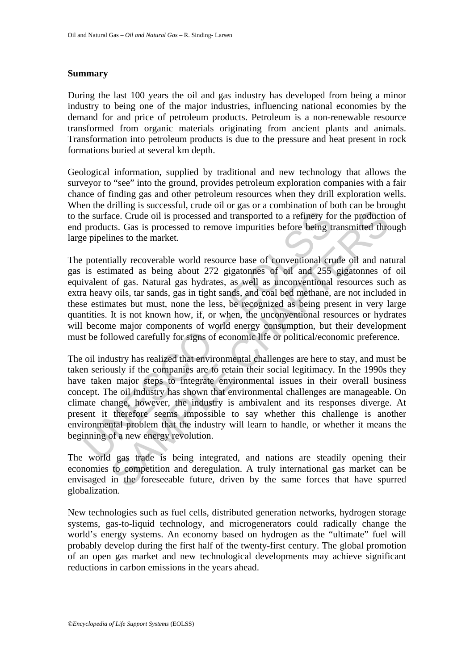#### **Summary**

During the last 100 years the oil and gas industry has developed from being a minor industry to being one of the major industries, influencing national economies by the demand for and price of petroleum products. Petroleum is a non-renewable resource transformed from organic materials originating from ancient plants and animals. Transformation into petroleum products is due to the pressure and heat present in rock formations buried at several km depth.

Geological information, supplied by traditional and new technology that allows the surveyor to "see" into the ground, provides petroleum exploration companies with a fair chance of finding gas and other petroleum resources when they drill exploration wells. When the drilling is successful, crude oil or gas or a combination of both can be brought to the surface. Crude oil is processed and transported to a refinery for the production of end products. Gas is processed to remove impurities before being transmitted through large pipelines to the market.

is expected oil is processed and transported to a refinery fo<br>products. Gas is processed to remove impurities before being to<br>products. Gas is processed to remove impurities before being to<br>prelimes to the market.<br>potentia ice. Crude oil is processed and transported to a refinery for the productions. Gas is processed to remove impurities before being transmitted threms to the market.<br>
ially recoverable world resource base of conventional cru The potentially recoverable world resource base of conventional crude oil and natural gas is estimated as being about 272 gigatonnes of oil and 255 gigatonnes of oil equivalent of gas. Natural gas hydrates, as well as unconventional resources such as extra heavy oils, tar sands, gas in tight sands, and coal bed methane, are not included in these estimates but must, none the less, be recognized as being present in very large quantities. It is not known how, if, or when, the unconventional resources or hydrates will become major components of world energy consumption, but their development must be followed carefully for signs of economic life or political/economic preference.

The oil industry has realized that environmental challenges are here to stay, and must be taken seriously if the companies are to retain their social legitimacy. In the 1990s they have taken major steps to integrate environmental issues in their overall business concept. The oil industry has shown that environmental challenges are manageable. On climate change, however, the industry is ambivalent and its responses diverge. At present it therefore seems impossible to say whether this challenge is another environmental problem that the industry will learn to handle, or whether it means the beginning of a new energy revolution.

The world gas trade is being integrated, and nations are steadily opening their economies to competition and deregulation. A truly international gas market can be envisaged in the foreseeable future, driven by the same forces that have spurred globalization.

New technologies such as fuel cells, distributed generation networks, hydrogen storage systems, gas-to-liquid technology, and microgenerators could radically change the world's energy systems. An economy based on hydrogen as the "ultimate" fuel will probably develop during the first half of the twenty-first century. The global promotion of an open gas market and new technological developments may achieve significant reductions in carbon emissions in the years ahead.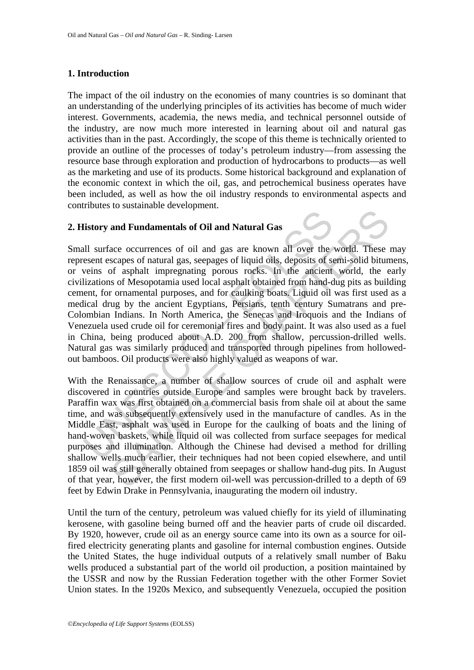#### **1. Introduction**

The impact of the oil industry on the economies of many countries is so dominant that an understanding of the underlying principles of its activities has become of much wider interest. Governments, academia, the news media, and technical personnel outside of the industry, are now much more interested in learning about oil and natural gas activities than in the past. Accordingly, the scope of this theme is technically oriented to provide an outline of the processes of today's petroleum industry—from assessing the resource base through exploration and production of hydrocarbons to products—as well as the marketing and use of its products. Some historical background and explanation of the economic context in which the oil, gas, and petrochemical business operates have been included, as well as how the oil industry responds to environmental aspects and contributes to sustainable development.

### **2. History and Fundamentals of Oil and Natural Gas**

Interiory and Fundamentals of Oil and Natural Gas<br>
all surface occurrences of oil and gas are known all over the<br>
seesent escapes of natural gas, seepages of liquid oils, deposits of s<br>
veins of asphalt impregnating porous and Fundamentals of Oil and Natural Gas<br>acc occurrences of oil and Natural Gas<br>acc occurrences of oil and gas are known all over the world. These<br>scapes of natural gas, seepages of liquid oils, deposits of semi-solid bitun Small surface occurrences of oil and gas are known all over the world. These may represent escapes of natural gas, seepages of liquid oils, deposits of semi-solid bitumens, or veins of asphalt impregnating porous rocks. In the ancient world, the early civilizations of Mesopotamia used local asphalt obtained from hand-dug pits as building cement, for ornamental purposes, and for caulking boats. Liquid oil was first used as a medical drug by the ancient Egyptians, Persians, tenth century Sumatrans and pre-Colombian Indians. In North America, the Senecas and Iroquois and the Indians of Venezuela used crude oil for ceremonial fires and body paint. It was also used as a fuel in China, being produced about A.D. 200 from shallow, percussion-drilled wells. Natural gas was similarly produced and transported through pipelines from hollowedout bamboos. Oil products were also highly valued as weapons of war.

With the Renaissance, a number of shallow sources of crude oil and asphalt were discovered in countries outside Europe and samples were brought back by travelers. Paraffin wax was first obtained on a commercial basis from shale oil at about the same time, and was subsequently extensively used in the manufacture of candles. As in the Middle East, asphalt was used in Europe for the caulking of boats and the lining of hand-woven baskets, while liquid oil was collected from surface seepages for medical purposes and illumination. Although the Chinese had devised a method for drilling shallow wells much earlier, their techniques had not been copied elsewhere, and until 1859 oil was still generally obtained from seepages or shallow hand-dug pits. In August of that year, however, the first modern oil-well was percussion-drilled to a depth of 69 feet by Edwin Drake in Pennsylvania, inaugurating the modern oil industry.

Until the turn of the century, petroleum was valued chiefly for its yield of illuminating kerosene, with gasoline being burned off and the heavier parts of crude oil discarded. By 1920, however, crude oil as an energy source came into its own as a source for oilfired electricity generating plants and gasoline for internal combustion engines. Outside the United States, the huge individual outputs of a relatively small number of Baku wells produced a substantial part of the world oil production, a position maintained by the USSR and now by the Russian Federation together with the other Former Soviet Union states. In the 1920s Mexico, and subsequently Venezuela, occupied the position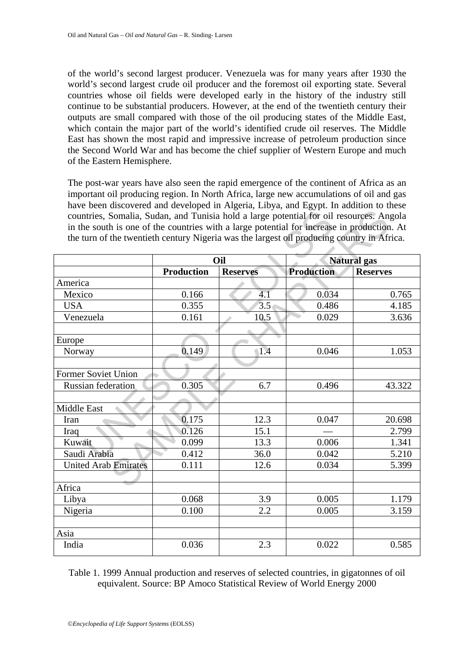of the world's second largest producer. Venezuela was for many years after 1930 the world's second largest crude oil producer and the foremost oil exporting state. Several countries whose oil fields were developed early in the history of the industry still continue to be substantial producers. However, at the end of the twentieth century their outputs are small compared with those of the oil producing states of the Middle East, which contain the major part of the world's identified crude oil reserves. The Middle East has shown the most rapid and impressive increase of petroleum production since the Second World War and has become the chief supplier of Western Europe and much of the Eastern Hemisphere.

The post-war years have also seen the rapid emergence of the continent of Africa as an important oil producing region. In North Africa, large new accumulations of oil and gas have been discovered and developed in Algeria, Libya, and Egypt. In addition to these countries, Somalia, Sudan, and Tunisia hold a large potential for oil resources. Angola in the south is one of the countries with a large potential for increase in production. At the turn of the twentieth century Nigeria was the largest oil producing country in Africa.

| $\frac{1}{2}$<br>countries, Somalia, Sudan, and Tunisia hold a large potential for oil resources. Angola<br>in the south is one of the countries with a large potential for increase in production. At<br>the turn of the twentieth century Nigeria was the largest oil producing country in Africa. |                   |                  |                    |                 |
|------------------------------------------------------------------------------------------------------------------------------------------------------------------------------------------------------------------------------------------------------------------------------------------------------|-------------------|------------------|--------------------|-----------------|
|                                                                                                                                                                                                                                                                                                      | Oil               |                  | <b>Natural</b> gas |                 |
|                                                                                                                                                                                                                                                                                                      | <b>Production</b> | <b>Reserves</b>  | <b>Production</b>  | <b>Reserves</b> |
| America                                                                                                                                                                                                                                                                                              |                   |                  |                    |                 |
| Mexico                                                                                                                                                                                                                                                                                               | 0.166             | 4.1              | 0.034              | 0.765           |
| <b>USA</b>                                                                                                                                                                                                                                                                                           | 0.355             | 3.5 <sub>1</sub> | 0.486              | 4.185           |
| Venezuela                                                                                                                                                                                                                                                                                            | 0.161             | 10.5             | 0.029              | 3.636           |
|                                                                                                                                                                                                                                                                                                      |                   |                  |                    |                 |
| Europe                                                                                                                                                                                                                                                                                               |                   |                  |                    |                 |
| Norway                                                                                                                                                                                                                                                                                               | 0.149             | 1.4              | 0.046              | 1.053           |
|                                                                                                                                                                                                                                                                                                      |                   |                  |                    |                 |
| <b>Former Soviet Union</b>                                                                                                                                                                                                                                                                           |                   |                  |                    |                 |
| Russian federation                                                                                                                                                                                                                                                                                   | 0.305             | 6.7              | 0.496              | 43.322          |
|                                                                                                                                                                                                                                                                                                      |                   |                  |                    |                 |
| Middle East                                                                                                                                                                                                                                                                                          |                   |                  |                    |                 |
| Iran                                                                                                                                                                                                                                                                                                 | 0.175             | 12.3             | 0.047              | 20.698          |
| Iraq                                                                                                                                                                                                                                                                                                 | 0.126             | 15.1             |                    | 2.799           |
| Kuwait                                                                                                                                                                                                                                                                                               | 0.099             | 13.3             | 0.006              | 1.341           |
| Saudi Arabia                                                                                                                                                                                                                                                                                         | 0.412             | 36.0             | 0.042              | 5.210           |
| <b>United Arab Emirates</b>                                                                                                                                                                                                                                                                          | 0.111             | 12.6             | 0.034              | 5.399           |
|                                                                                                                                                                                                                                                                                                      |                   |                  |                    |                 |
| Africa                                                                                                                                                                                                                                                                                               |                   |                  |                    |                 |
| Libya                                                                                                                                                                                                                                                                                                | 0.068             | 3.9              | 0.005              | 1.179           |
| Nigeria                                                                                                                                                                                                                                                                                              | 0.100             | 2.2              | 0.005              | 3.159           |
|                                                                                                                                                                                                                                                                                                      |                   |                  |                    |                 |
| Asia                                                                                                                                                                                                                                                                                                 |                   |                  |                    |                 |
| India                                                                                                                                                                                                                                                                                                | 0.036             | 2.3              | 0.022              | 0.585           |

Table 1. 1999 Annual production and reserves of selected countries, in gigatonnes of oil equivalent. Source: BP Amoco Statistical Review of World Energy 2000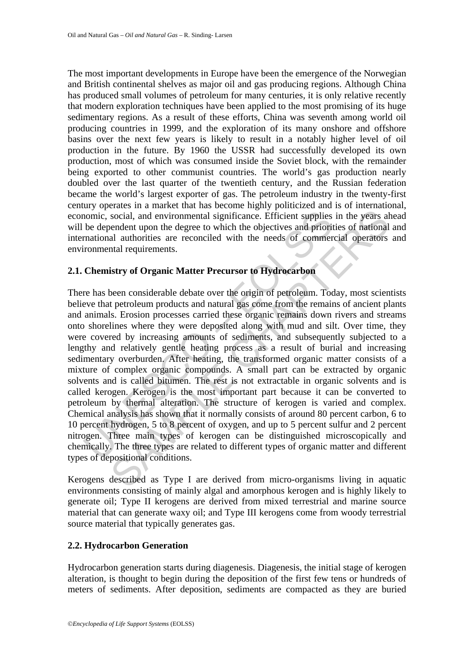The most important developments in Europe have been the emergence of the Norwegian and British continental shelves as major oil and gas producing regions. Although China has produced small volumes of petroleum for many centuries, it is only relative recently that modern exploration techniques have been applied to the most promising of its huge sedimentary regions. As a result of these efforts, China was seventh among world oil producing countries in 1999, and the exploration of its many onshore and offshore basins over the next few years is likely to result in a notably higher level of oil production in the future. By 1960 the USSR had successfully developed its own production, most of which was consumed inside the Soviet block, with the remainder being exported to other communist countries. The world's gas production nearly doubled over the last quarter of the twentieth century, and the Russian federation became the world's largest exporter of gas. The petroleum industry in the twenty-first century operates in a market that has become highly politicized and is of international, economic, social, and environmental significance. Efficient supplies in the years ahead will be dependent upon the degree to which the objectives and priorities of national and international authorities are reconciled with the needs of commercial operators and environmental requirements.

#### **2.1. Chemistry of Organic Matter Precursor to Hydrocarbon**

nomic, social, and environmental significance. Efficient supplies<br>be dependent upon the degree to which the objectives and priorit<br>mational authorities are reconciled with the needs of commer<br>ironmental requirements.<br>**Chem** social, and environmental significance. Efficient supplies in the years alsocial, and environmental significance. Efficient supplies in the years alsendent upon the degree to which the objectives and priorities of national There has been considerable debate over the origin of petroleum. Today, most scientists believe that petroleum products and natural gas come from the remains of ancient plants and animals. Erosion processes carried these organic remains down rivers and streams onto shorelines where they were deposited along with mud and silt. Over time, they were covered by increasing amounts of sediments, and subsequently subjected to a lengthy and relatively gentle heating process as a result of burial and increasing sedimentary overburden. After heating, the transformed organic matter consists of a mixture of complex organic compounds. A small part can be extracted by organic solvents and is called bitumen. The rest is not extractable in organic solvents and is called kerogen. Kerogen is the most important part because it can be converted to petroleum by thermal alteration. The structure of kerogen is varied and complex. Chemical analysis has shown that it normally consists of around 80 percent carbon, 6 to 10 percent hydrogen, 5 to 8 percent of oxygen, and up to 5 percent sulfur and 2 percent nitrogen. Three main types of kerogen can be distinguished microscopically and chemically. The three types are related to different types of organic matter and different types of depositional conditions.

Kerogens described as Type I are derived from micro-organisms living in aquatic environments consisting of mainly algal and amorphous kerogen and is highly likely to generate oil; Type II kerogens are derived from mixed terrestrial and marine source material that can generate waxy oil; and Type III kerogens come from woody terrestrial source material that typically generates gas.

#### **2.2. Hydrocarbon Generation**

Hydrocarbon generation starts during diagenesis. Diagenesis, the initial stage of kerogen alteration, is thought to begin during the deposition of the first few tens or hundreds of meters of sediments. After deposition, sediments are compacted as they are buried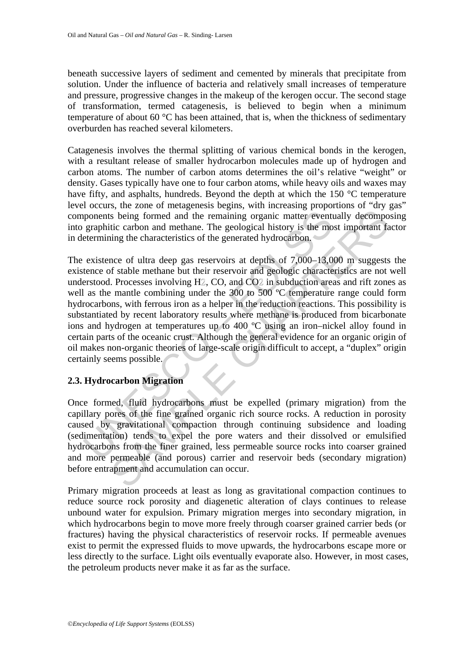beneath successive layers of sediment and cemented by minerals that precipitate from solution. Under the influence of bacteria and relatively small increases of temperature and pressure, progressive changes in the makeup of the kerogen occur. The second stage of transformation, termed catagenesis, is believed to begin when a minimum temperature of about 60 °C has been attained, that is, when the thickness of sedimentary overburden has reached several kilometers.

Catagenesis involves the thermal splitting of various chemical bonds in the kerogen, with a resultant release of smaller hydrocarbon molecules made up of hydrogen and carbon atoms. The number of carbon atoms determines the oil's relative "weight" or density. Gases typically have one to four carbon atoms, while heavy oils and waxes may have fifty, and asphalts, hundreds. Beyond the depth at which the 150 °C temperature level occurs, the zone of metagenesis begins, with increasing proportions of "dry gas" components being formed and the remaining organic matter eventually decomposing into graphitic carbon and methane. The geological history is the most important factor in determining the characteristics of the generated hydrocarbon.

proposents being formed and the remaining organic matter event<br>graphitic carbon and methane. The geological history is the mo<br>etermining the characteristics of the generated hydrocarbon.<br>existence of ultra deep gas reservo s being formed and the remaining organic matter eventually decompositive carbon and methane. The geological history is the most important faing the characteristics of the generated hydrocarbon.<br>
mee of ultra deep gas reser The existence of ultra deep gas reservoirs at depths of 7,000–13,000 m suggests the existence of stable methane but their reservoir and geologic characteristics are not well understood. Processes involving H2, CO, and CO2 in subduction areas and rift zones as well as the mantle combining under the 300 to 500 °C temperature range could form hydrocarbons, with ferrous iron as a helper in the reduction reactions. This possibility is substantiated by recent laboratory results where methane is produced from bicarbonate ions and hydrogen at temperatures up to 400 ºC using an iron–nickel alloy found in certain parts of the oceanic crust. Although the general evidence for an organic origin of oil makes non-organic theories of large-scale origin difficult to accept, a "duplex" origin certainly seems possible.

## **2.3. Hydrocarbon Migration**

Once formed, fluid hydrocarbons must be expelled (primary migration) from the capillary pores of the fine grained organic rich source rocks. A reduction in porosity caused by gravitational compaction through continuing subsidence and loading (sedimentation) tends to expel the pore waters and their dissolved or emulsified hydrocarbons from the finer grained, less permeable source rocks into coarser grained and more permeable (and porous) carrier and reservoir beds (secondary migration) before entrapment and accumulation can occur.

Primary migration proceeds at least as long as gravitational compaction continues to reduce source rock porosity and diagenetic alteration of clays continues to release unbound water for expulsion. Primary migration merges into secondary migration, in which hydrocarbons begin to move more freely through coarser grained carrier beds (or fractures) having the physical characteristics of reservoir rocks. If permeable avenues exist to permit the expressed fluids to move upwards, the hydrocarbons escape more or less directly to the surface. Light oils eventually evaporate also. However, in most cases, the petroleum products never make it as far as the surface.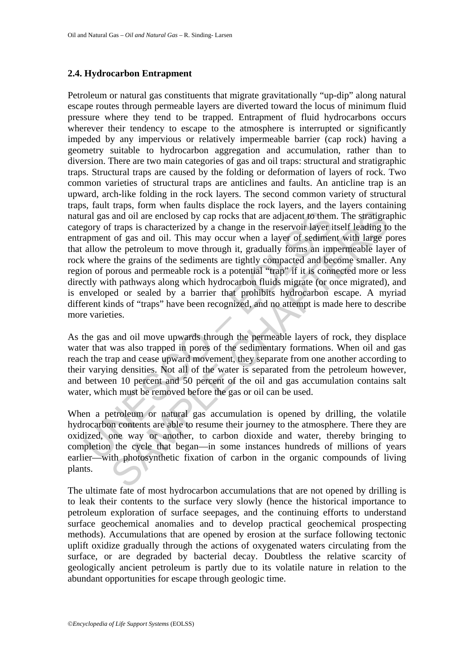#### **2.4. Hydrocarbon Entrapment**

Tral gas and oil are enclosed by cap rocks that are adjacent to then<br>gory of traps is characterized by a change in the reservoir layer i<br>apment of gas and oil. This may occur when a layer of sedimer<br>allow the petroleum to and oil are enclosed by cap rocks that are adjacent to them. The stratigrate and oil are enclosed by a change in the reservoir layer itself leading to f gas and oil. This may occur when a layer of sediment with large poten Petroleum or natural gas constituents that migrate gravitationally "up-dip" along natural escape routes through permeable layers are diverted toward the locus of minimum fluid pressure where they tend to be trapped. Entrapment of fluid hydrocarbons occurs wherever their tendency to escape to the atmosphere is interrupted or significantly impeded by any impervious or relatively impermeable barrier (cap rock) having a geometry suitable to hydrocarbon aggregation and accumulation, rather than to diversion. There are two main categories of gas and oil traps: structural and stratigraphic traps. Structural traps are caused by the folding or deformation of layers of rock. Two common varieties of structural traps are anticlines and faults. An anticline trap is an upward, arch-like folding in the rock layers. The second common variety of structural traps, fault traps, form when faults displace the rock layers, and the layers containing natural gas and oil are enclosed by cap rocks that are adjacent to them. The stratigraphic category of traps is characterized by a change in the reservoir layer itself leading to the entrapment of gas and oil. This may occur when a layer of sediment with large pores that allow the petroleum to move through it, gradually forms an impermeable layer of rock where the grains of the sediments are tightly compacted and become smaller. Any region of porous and permeable rock is a potential "trap" if it is connected more or less directly with pathways along which hydrocarbon fluids migrate (or once migrated), and is enveloped or sealed by a barrier that prohibits hydrocarbon escape. A myriad different kinds of "traps" have been recognized, and no attempt is made here to describe more varieties.

As the gas and oil move upwards through the permeable layers of rock, they displace water that was also trapped in pores of the sedimentary formations. When oil and gas reach the trap and cease upward movement, they separate from one another according to their varying densities. Not all of the water is separated from the petroleum however, and between 10 percent and 50 percent of the oil and gas accumulation contains salt water, which must be removed before the gas or oil can be used.

When a petroleum or natural gas accumulation is opened by drilling, the volatile hydrocarbon contents are able to resume their journey to the atmosphere. There they are oxidized, one way or another, to carbon dioxide and water, thereby bringing to completion the cycle that began—in some instances hundreds of millions of years earlier—with photosynthetic fixation of carbon in the organic compounds of living plants.

The ultimate fate of most hydrocarbon accumulations that are not opened by drilling is to leak their contents to the surface very slowly (hence the historical importance to petroleum exploration of surface seepages, and the continuing efforts to understand surface geochemical anomalies and to develop practical geochemical prospecting methods). Accumulations that are opened by erosion at the surface following tectonic uplift oxidize gradually through the actions of oxygenated waters circulating from the surface, or are degraded by bacterial decay. Doubtless the relative scarcity of geologically ancient petroleum is partly due to its volatile nature in relation to the abundant opportunities for escape through geologic time.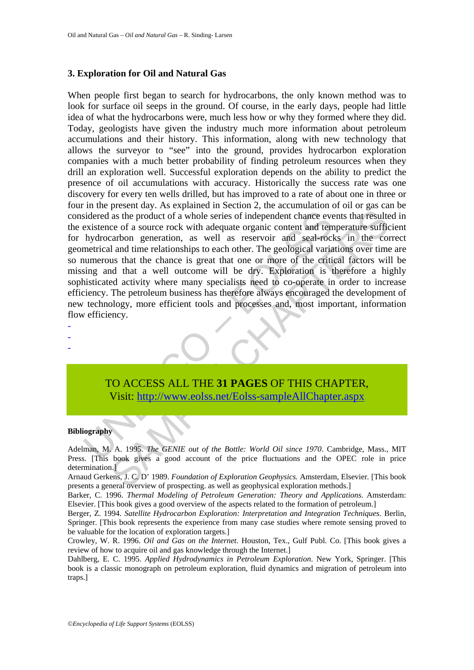#### **3. Exploration for Oil and Natural Gas**

sidered as the product of a whole series of independent chance eve<br>
xistence of a source rock with adequate organic content and tem<br>
hydrocarbon generation, as well as reservoir and seal-rocl<br>
metrical and time relationshi as the product of a whole series of independent chance events that resulte<br>ce of a source rock with adequate organic content and temperature suffice<br>ce of a source rock with adequate organic content and temperature suffice When people first began to search for hydrocarbons, the only known method was to look for surface oil seeps in the ground. Of course, in the early days, people had little idea of what the hydrocarbons were, much less how or why they formed where they did. Today, geologists have given the industry much more information about petroleum accumulations and their history. This information, along with new technology that allows the surveyor to "see" into the ground, provides hydrocarbon exploration companies with a much better probability of finding petroleum resources when they drill an exploration well. Successful exploration depends on the ability to predict the presence of oil accumulations with accuracy. Historically the success rate was one discovery for every ten wells drilled, but has improved to a rate of about one in three or four in the present day. As explained in Section 2, the accumulation of oil or gas can be considered as the product of a whole series of independent chance events that resulted in the existence of a source rock with adequate organic content and temperature sufficient for hydrocarbon generation, as well as reservoir and seal-rocks in the correct geometrical and time relationships to each other. The geological variations over time are so numerous that the chance is great that one or more of the critical factors will be missing and that a well outcome will be dry. Exploration is therefore a highly sophisticated activity where many specialists need to co-operate in order to increase efficiency. The petroleum business has therefore always encouraged the development of new technology, more efficient tools and processes and, most important, information flow efficiency.

- -

-

## TO ACCESS ALL THE **31 PAGES** OF THIS CHAPTER, Visit: http://www.eolss.net/Eolss-sampleAllChapter.aspx

#### **Bibliography**

Adelman, M. A. 1995. *The GENIE out of the Bottle: World Oil since 1970*. Cambridge, Mass., MIT Press. [This book gives a good account of the price fluctuations and the OPEC role in price determination.]

Arnaud Gerkens, J. C. D' 1989. *Foundation of Exploration Geophysics.* Amsterdam, Elsevier*.* [This book presents a general overview of prospecting. as well as geophysical exploration methods.]

Barker, C. 1996. *Thermal Modeling of Petroleum Generation: Theory and Applications*. Amsterdam: Elsevier. [This book gives a good overview of the aspects related to the formation of petroleum.]

Berger, Z. 1994. *Satellite Hydrocarbon Exploration: Interpretation and Integration Techniques*. Berlin, Springer. [This book represents the experience from many case studies where remote sensing proved to be valuable for the location of exploration targets.]

Crowley, W. R. 1996. *Oil and Gas on the Internet*. Houston, Tex., Gulf Publ. Co. [This book gives a review of how to acquire oil and gas knowledge through the Internet.]

Dahlberg, E. C. 1995. *Applied Hydrodynamics in Petroleum Exploration*. New York, Springer. [This book is a classic monograph on petroleum exploration, fluid dynamics and migration of petroleum into traps.]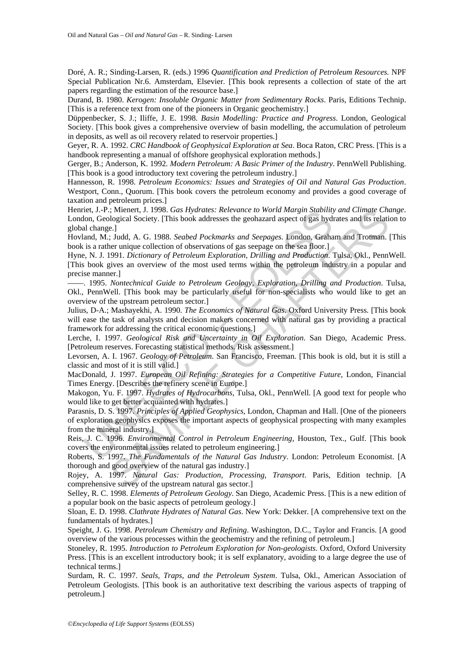Doré, A. R.; Sinding-Larsen, R. (eds.) 1996 *Quantification and Prediction of Petroleum Resources.* NPF Special Publication Nr.6. Amsterdam, Elsevier. [This book represents a collection of state of the art papers regarding the estimation of the resource base.]

Durand, B. 1980. *Kerogen: Insoluble Organic Matter from Sedimentary Rocks*. Paris, Editions Technip. [This is a reference text from one of the pioneers in Organic geochemistry.]

Düppenbecker, S. J.; Iliffe, J. E. 1998. *Basin Modelling: Practice and Progress*. London, Geological Society. [This book gives a comprehensive overview of basin modelling, the accumulation of petroleum in deposits, as well as oil recovery related to reservoir properties.]

Geyer, R. A. 1992. *CRC Handbook of Geophysical Exploration at Sea*. Boca Raton, CRC Press. [This is a handbook representing a manual of offshore geophysical exploration methods.]

Gerger, B.; Anderson, K. 1992*. Modern Petroleum: A Basic Primer of the Industry*. PennWell Publishing. [This book is a good introductory text covering the petroleum industry.]

Hannesson, R. 1998. *Petroleum Economics: Issues and Strategies of Oil and Natural Gas Production*. Westport, Conn., Quorum. [This book covers the petroleum economy and provides a good coverage of taxation and petroleum prices.]

Henriet, J.-P.; Mienert, J. 1998. *Gas Hydrates: Relevance to World Margin Stability and Climate Change*. London, Geological Society. [This book addresses the geohazard aspect of gas hydrates and its relation to global change.]

Hovland, M.; Judd, A. G. 1988. *Seabed Pockmarks and Seepages.* London, Graham and Trotman. [This book is a rather unique collection of observations of gas seepage on the sea floor.]

Hyne, N. J. 1991. *Dictionary of Petroleum Exploration, Drilling and Production*. Tulsa, Okl., PennWell. [This book gives an overview of the most used terms within the petroleum industry in a popular and precise manner.]

––––. 1995. *Nontechnical Guide to Petroleum Geology, Exploration, Drilling and Production*. Tulsa, Okl., PennWell. [This book may be particularly useful for non-specialists who would like to get an overview of the upstream petroleum sector.]

Julius, D-A.; Mashayekhi, A. 1990. *The Economics of Natural Gas*. Oxford University Press. [This book will ease the task of analysts and decision makers concerned with natural gas by providing a practical framework for addressing the critical economic questions.]

Lerche, I. 1997. *Geological Risk and Uncertainty in Oil Exploration*. San Diego, Academic Press. [Petroleum reserves. Forecasting statistical methods. Risk assessment.]

Levorsen, A. I. 1967. *Geology of Petroleum*. San Francisco, Freeman. [This book is old, but it is still a classic and most of it is still valid.]

MacDonald, J. 1997. *European Oil Refining: Strategies for a Competitive Future*, London, Financial Times Energy. [Describes the refinery scene in Europe.]

Makogon, Yu. F. 1997. *Hydrates of Hydrocarbons*, Tulsa, Okl., PennWell. [A good text for people who would like to get better acquainted with hydrates.]

elet, J.P.; Nienent, J. 1998. Gas Hydrates: Relevance to World Margin Statiution, Geological Society. [This book adtesses the geological speed of gas hydial change.]<br>al change.]<br>al change.]<br>al change.]<br>al change.]<br>al chang ; Mienert, J. 1998. Gas Hydrates: Relevance to World Margan Stability and Climate Chen<br>
logical Society. (This book addresses the geohazard appet of gas hydrates and its relation<br>
e.]<br>
e.] Judd, A. G. 1988. Seabed Pockmar Parasnis, D. S. 1997. *Principles of Applied Geophysics*, London, Chapman and Hall. [One of the pioneers of exploration geophysics exposes the important aspects of geophysical prospecting with many examples from the mineral industry.]

Reis, J. C. 1996. *Environmental Control in Petroleum Engineering*, Houston, Tex., Gulf. [This book covers the environmental issues related to petroleum engineering.]

Roberts, S. 1997. *The Fundamentals of the Natural Gas Industry*. London: Petroleum Economist. [A thorough and good overview of the natural gas industry.]

Rojey, A. 1997. *Natural Gas: Production, Processing, Transport*. Paris, Edition technip. [A comprehensive survey of the upstream natural gas sector.]

Selley, R. C. 1998. *Elements of Petroleum Geology*. San Diego, Academic Press. [This is a new edition of a popular book on the basic aspects of petroleum geology.]

Sloan, E. D. 1998. *Clathrate Hydrates of Natural Gas*. New York: Dekker. [A comprehensive text on the fundamentals of hydrates.]

Speight, J. G. 1998. *Petroleum Chemistry and Refining*. Washington, D.C., Taylor and Francis. [A good overview of the various processes within the geochemistry and the refining of petroleum.]

Stoneley, R. 1995. *Introduction to Petroleum Exploration for Non-geologists*. Oxford, Oxford University Press. [This is an excellent introductory book; it is self explanatory, avoiding to a large degree the use of technical terms.]

Surdam, R. C. 1997. *Seals, Traps, and the Petroleum System*. Tulsa, Okl., American Association of Petroleum Geologists. [This book is an authoritative text describing the various aspects of trapping of petroleum.]